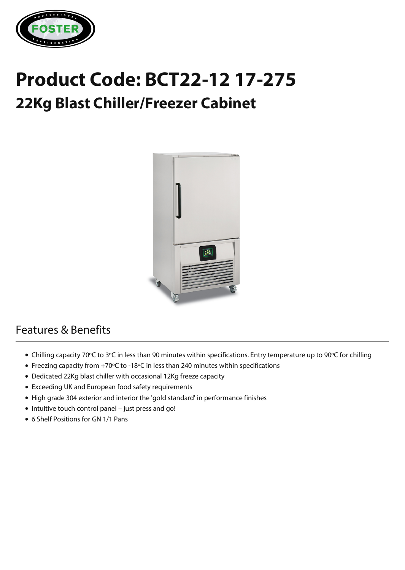

## **Product Code: BCT22-12 17-275**

## **22Kg Blast Chiller/Freezer Cabinet**



## Features & Benefits

- Chilling capacity 70ºC to 3ºC in less than 90 minutes within specifications. Entry temperature up to 90ºC for chilling
- Freezing capacity from +70ºC to -18ºC in less than 240 minutes within specifications
- Dedicated 22Kg blast chiller with occasional 12Kg freeze capacity
- Exceeding UK and European food safety requirements
- High grade 304 exterior and interior the 'gold standard' in performance finishes
- Intuitive touch control panel just press and go!
- 6 Shelf Positions for GN 1/1 Pans